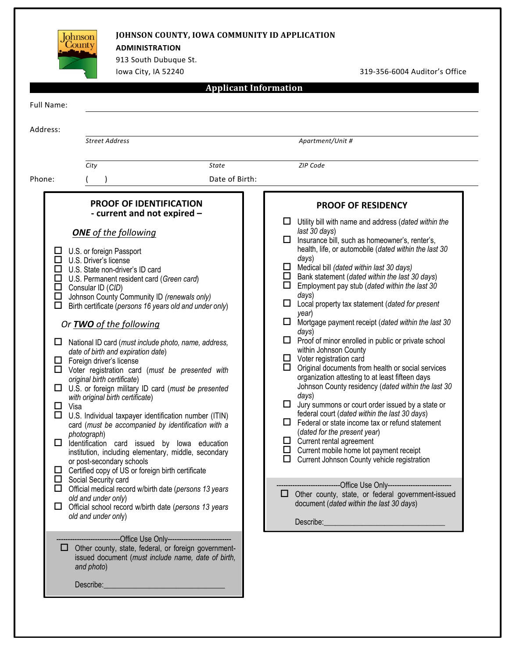| 913 South Dubuque St.<br>lowa City, IA 52240                                                                                                                                                                                                                                                                                                                                                                                                                                                                                                                                                                                                                                                                                                                                                                                                                                                                                                                                                                                                                                                                                                                                                                                                                                                                                                                                                                                                                                                |                                                   | 319-356-6004 Auditor's Office                                                                                                                                                                                                                                                                                                                                                                                                                                                                                                                                                                                                                                                                                                                                                                                                                                                                                                                                                                                                                                                                                                                                                                                                                                                                                                                                                   |
|---------------------------------------------------------------------------------------------------------------------------------------------------------------------------------------------------------------------------------------------------------------------------------------------------------------------------------------------------------------------------------------------------------------------------------------------------------------------------------------------------------------------------------------------------------------------------------------------------------------------------------------------------------------------------------------------------------------------------------------------------------------------------------------------------------------------------------------------------------------------------------------------------------------------------------------------------------------------------------------------------------------------------------------------------------------------------------------------------------------------------------------------------------------------------------------------------------------------------------------------------------------------------------------------------------------------------------------------------------------------------------------------------------------------------------------------------------------------------------------------|---------------------------------------------------|---------------------------------------------------------------------------------------------------------------------------------------------------------------------------------------------------------------------------------------------------------------------------------------------------------------------------------------------------------------------------------------------------------------------------------------------------------------------------------------------------------------------------------------------------------------------------------------------------------------------------------------------------------------------------------------------------------------------------------------------------------------------------------------------------------------------------------------------------------------------------------------------------------------------------------------------------------------------------------------------------------------------------------------------------------------------------------------------------------------------------------------------------------------------------------------------------------------------------------------------------------------------------------------------------------------------------------------------------------------------------------|
|                                                                                                                                                                                                                                                                                                                                                                                                                                                                                                                                                                                                                                                                                                                                                                                                                                                                                                                                                                                                                                                                                                                                                                                                                                                                                                                                                                                                                                                                                             | <b>Applicant Information</b>                      |                                                                                                                                                                                                                                                                                                                                                                                                                                                                                                                                                                                                                                                                                                                                                                                                                                                                                                                                                                                                                                                                                                                                                                                                                                                                                                                                                                                 |
| Full Name:                                                                                                                                                                                                                                                                                                                                                                                                                                                                                                                                                                                                                                                                                                                                                                                                                                                                                                                                                                                                                                                                                                                                                                                                                                                                                                                                                                                                                                                                                  |                                                   |                                                                                                                                                                                                                                                                                                                                                                                                                                                                                                                                                                                                                                                                                                                                                                                                                                                                                                                                                                                                                                                                                                                                                                                                                                                                                                                                                                                 |
| Address:                                                                                                                                                                                                                                                                                                                                                                                                                                                                                                                                                                                                                                                                                                                                                                                                                                                                                                                                                                                                                                                                                                                                                                                                                                                                                                                                                                                                                                                                                    |                                                   |                                                                                                                                                                                                                                                                                                                                                                                                                                                                                                                                                                                                                                                                                                                                                                                                                                                                                                                                                                                                                                                                                                                                                                                                                                                                                                                                                                                 |
| <b>Street Address</b>                                                                                                                                                                                                                                                                                                                                                                                                                                                                                                                                                                                                                                                                                                                                                                                                                                                                                                                                                                                                                                                                                                                                                                                                                                                                                                                                                                                                                                                                       |                                                   | Apartment/Unit #                                                                                                                                                                                                                                                                                                                                                                                                                                                                                                                                                                                                                                                                                                                                                                                                                                                                                                                                                                                                                                                                                                                                                                                                                                                                                                                                                                |
| City                                                                                                                                                                                                                                                                                                                                                                                                                                                                                                                                                                                                                                                                                                                                                                                                                                                                                                                                                                                                                                                                                                                                                                                                                                                                                                                                                                                                                                                                                        | State                                             | <b>ZIP Code</b>                                                                                                                                                                                                                                                                                                                                                                                                                                                                                                                                                                                                                                                                                                                                                                                                                                                                                                                                                                                                                                                                                                                                                                                                                                                                                                                                                                 |
| Phone:                                                                                                                                                                                                                                                                                                                                                                                                                                                                                                                                                                                                                                                                                                                                                                                                                                                                                                                                                                                                                                                                                                                                                                                                                                                                                                                                                                                                                                                                                      | Date of Birth:                                    |                                                                                                                                                                                                                                                                                                                                                                                                                                                                                                                                                                                                                                                                                                                                                                                                                                                                                                                                                                                                                                                                                                                                                                                                                                                                                                                                                                                 |
| <b>PROOF OF IDENTIFICATION</b><br>- current and not expired -                                                                                                                                                                                                                                                                                                                                                                                                                                                                                                                                                                                                                                                                                                                                                                                                                                                                                                                                                                                                                                                                                                                                                                                                                                                                                                                                                                                                                               |                                                   | <b>PROOF OF RESIDENCY</b>                                                                                                                                                                                                                                                                                                                                                                                                                                                                                                                                                                                                                                                                                                                                                                                                                                                                                                                                                                                                                                                                                                                                                                                                                                                                                                                                                       |
| <b>ONE</b> of the following<br>U.S. or foreign Passport<br>Ц<br>$\Box$<br>U.S. Driver's license<br>□<br>U.S. State non-driver's ID card<br>□<br>U.S. Permanent resident card (Green card)<br>□<br>Consular ID (CID)<br>$\Box$<br>Johnson County Community ID (renewals only)<br>□<br>Birth certificate (persons 16 years old and under only)<br>Or <b>TWO</b> of the following<br>National ID card (must include photo, name, address,<br>ш<br>date of birth and expiration date)<br>Foreign driver's license<br>ப<br>Voter registration card (must be presented with<br>$\Box$<br>original birth certificate)<br>U.S. or foreign military ID card (must be presented<br>□<br>with original birth certificate)<br>□<br>Visa<br>◻<br>U.S. Individual taxpayer identification number (ITIN)<br>card (must be accompanied by identification with a<br>photograph)<br>□<br>Identification card issued by Iowa education<br>institution, including elementary, middle, secondary<br>or post-secondary schools<br>Certified copy of US or foreign birth certificate<br>□<br>$\Box$ Social Security card<br>$\Box$ Official medical record w/birth date (persons 13 years<br>old and under only)<br>$\Box$ Official school record w/birth date (persons 13 years<br>old and under only)<br>-------------Office Use Only---------------------------<br>$\Box$ Other county, state, federal, or foreign government-<br>issued document (must include name, date of birth,<br>and photo)<br>Describe: | <u> 1989 - Johann Barn, mars eta bainar eta i</u> | Utility bill with name and address (dated within the<br>last 30 days)<br>Insurance bill, such as homeowner's, renter's,<br>health, life, or automobile (dated within the last 30<br>days)<br>Medical bill (dated within last 30 days)<br>$\Box$<br>$\Box$<br>Bank statement (dated within the last 30 days)<br>□<br>Employment pay stub (dated within the last 30<br>days)<br>Local property tax statement (dated for present<br>ப<br>year)<br>Mortgage payment receipt (dated within the last 30<br>$\Box$<br>days)<br>$\Box$ Proof of minor enrolled in public or private school<br>within Johnson County<br>$\Box$ Voter registration card<br>$\Box$<br>Original documents from health or social services<br>organization attesting to at least fifteen days<br>Johnson County residency (dated within the last 30<br>days)<br>$\Box$<br>Jury summons or court order issued by a state or<br>federal court (dated within the last 30 days)<br>$\Box$ Federal or state income tax or refund statement<br>(dated for the present year)<br>$\Box$ Current rental agreement<br>$\Box$ Current mobile home lot payment receipt<br>$\Box$ Current Johnson County vehicle registration<br>------------------Office Use Only-----------------------<br>□ Other county, state, or federal government-issued<br>document (dated within the last 30 days)<br>Describe: <u>Describe:</u> |